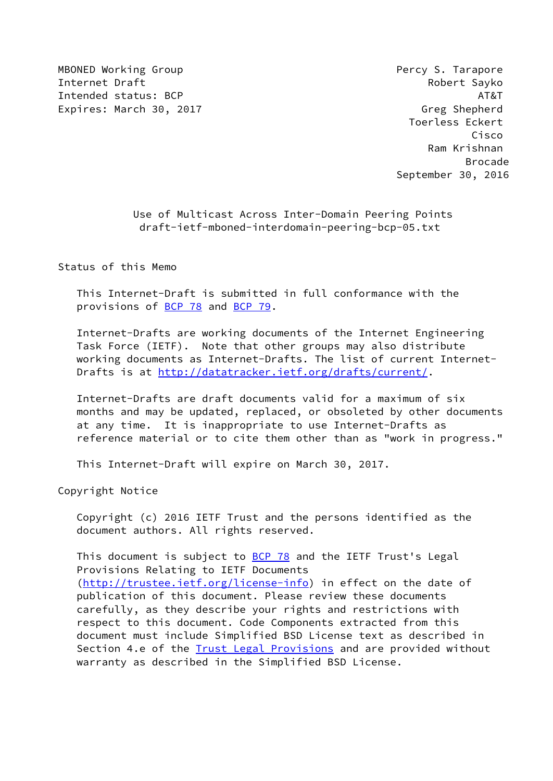MBONED Working Group **Percy S. Tarapore Percy S. Tarapore** Internet Draft **Robert Sayko** Intended status: BCP AT&T AT&T AT&T Expires: March 30, 2017 Castle and Contract Contract Contract Contract Contract Contract Contract Contract Contract Contract Contract Contract Contract Contract Contract Contract Contract Contract Contract Contract Contrac

 Toerless Eckert Cisco Ram Krishnan en de la construction de la construction de la construction de la construction de la construction de la constr September 30, 2016

> Use of Multicast Across Inter-Domain Peering Points draft-ietf-mboned-interdomain-peering-bcp-05.txt

Status of this Memo

 This Internet-Draft is submitted in full conformance with the provisions of [BCP 78](https://datatracker.ietf.org/doc/pdf/bcp78) and [BCP 79](https://datatracker.ietf.org/doc/pdf/bcp79).

 Internet-Drafts are working documents of the Internet Engineering Task Force (IETF). Note that other groups may also distribute working documents as Internet-Drafts. The list of current Internet- Drafts is at<http://datatracker.ietf.org/drafts/current/>.

 Internet-Drafts are draft documents valid for a maximum of six months and may be updated, replaced, or obsoleted by other documents at any time. It is inappropriate to use Internet-Drafts as reference material or to cite them other than as "work in progress."

This Internet-Draft will expire on March 30, 2017.

Copyright Notice

 Copyright (c) 2016 IETF Trust and the persons identified as the document authors. All rights reserved.

This document is subject to **[BCP 78](https://datatracker.ietf.org/doc/pdf/bcp78)** and the IETF Trust's Legal Provisions Relating to IETF Documents [\(http://trustee.ietf.org/license-info](http://trustee.ietf.org/license-info)) in effect on the date of publication of this document. Please review these documents carefully, as they describe your rights and restrictions with respect to this document. Code Components extracted from this document must include Simplified BSD License text as described in Section 4.e of the [Trust Legal Provisions](https://trustee.ietf.org/license-info) and are provided without warranty as described in the Simplified BSD License.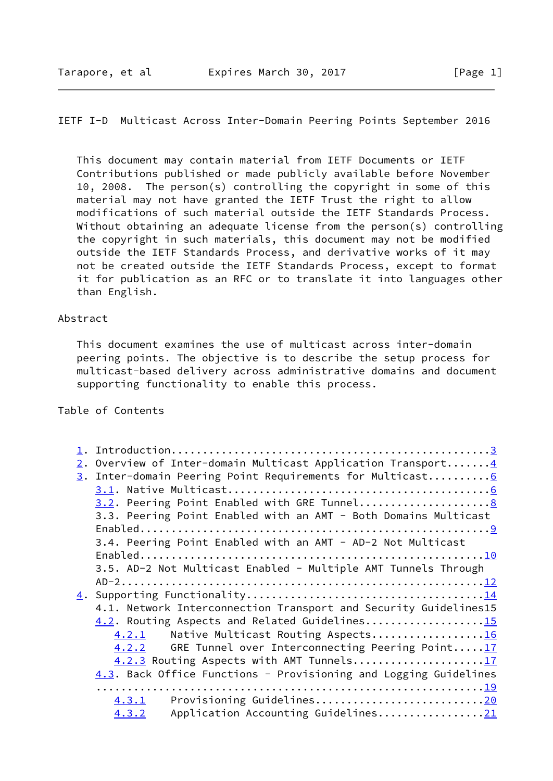# IETF I-D Multicast Across Inter-Domain Peering Points September 2016

 This document may contain material from IETF Documents or IETF Contributions published or made publicly available before November 10, 2008. The person(s) controlling the copyright in some of this material may not have granted the IETF Trust the right to allow modifications of such material outside the IETF Standards Process. Without obtaining an adequate license from the person(s) controlling the copyright in such materials, this document may not be modified outside the IETF Standards Process, and derivative works of it may not be created outside the IETF Standards Process, except to format it for publication as an RFC or to translate it into languages other than English.

#### Abstract

 This document examines the use of multicast across inter-domain peering points. The objective is to describe the setup process for multicast-based delivery across administrative domains and document supporting functionality to enable this process.

# Table of Contents

| 2. Overview of Inter-domain Multicast Application Transport4     |
|------------------------------------------------------------------|
| 3. Inter-domain Peering Point Requirements for Multicast 6       |
|                                                                  |
|                                                                  |
| 3.3. Peering Point Enabled with an AMT - Both Domains Multicast  |
|                                                                  |
| 3.4. Peering Point Enabled with an AMT - AD-2 Not Multicast      |
|                                                                  |
| 3.5. AD-2 Not Multicast Enabled - Multiple AMT Tunnels Through   |
|                                                                  |
|                                                                  |
| 4.1. Network Interconnection Transport and Security Guidelines15 |
| 4.2. Routing Aspects and Related Guidelines15                    |
| Native Multicast Routing Aspects16<br>4.2.1                      |
| GRE Tunnel over Interconnecting Peering Point17<br>4.2.2         |
| 4.2.3 Routing Aspects with AMT Tunnels17                         |
| 4.3. Back Office Functions - Provisioning and Logging Guidelines |
|                                                                  |
| Provisioning Guidelines20<br>4.3.1                               |
| Application Accounting Guidelines21<br>4.3.2                     |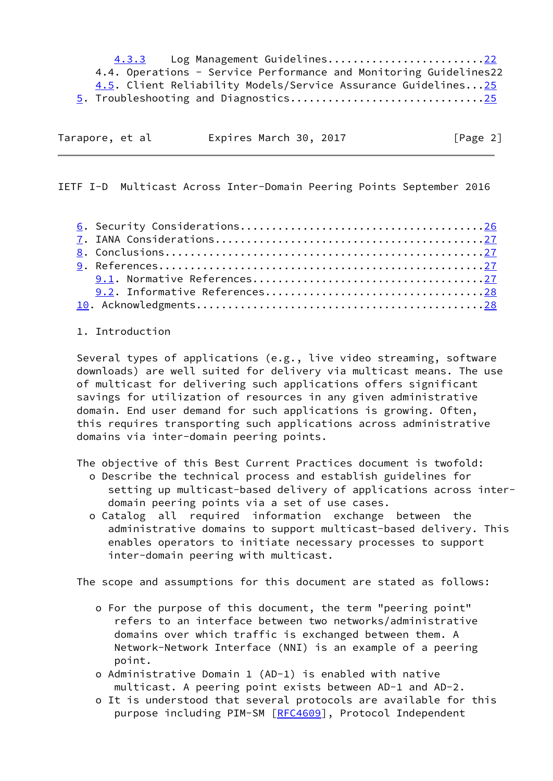4.3.3 Log Management Guidelines........................[.22](#page-22-0) 4.4. Operations - Service Performance and Monitoring Guidelines22 4.5. Client Reliability Models/Service Assurance Guidelines..[.25](#page-25-0) 5. Troubleshooting and Diagnostics..............................[.25](#page-25-0)

| Tarapore, et al |  | Expires March 30, 2017 |  | [Page 2] |
|-----------------|--|------------------------|--|----------|

<span id="page-2-0"></span>IETF I-D Multicast Across Inter-Domain Peering Points September 2016

#### 1. Introduction

 Several types of applications (e.g., live video streaming, software downloads) are well suited for delivery via multicast means. The use of multicast for delivering such applications offers significant savings for utilization of resources in any given administrative domain. End user demand for such applications is growing. Often, this requires transporting such applications across administrative domains via inter-domain peering points.

The objective of this Best Current Practices document is twofold:

- o Describe the technical process and establish guidelines for setting up multicast-based delivery of applications across inter domain peering points via a set of use cases.
- o Catalog all required information exchange between the administrative domains to support multicast-based delivery. This enables operators to initiate necessary processes to support inter-domain peering with multicast.

The scope and assumptions for this document are stated as follows:

- o For the purpose of this document, the term "peering point" refers to an interface between two networks/administrative domains over which traffic is exchanged between them. A Network-Network Interface (NNI) is an example of a peering point.
- o Administrative Domain 1 (AD-1) is enabled with native multicast. A peering point exists between AD-1 and AD-2.
- o It is understood that several protocols are available for this purpose including PIM-SM [\[RFC4609](https://datatracker.ietf.org/doc/pdf/rfc4609)], Protocol Independent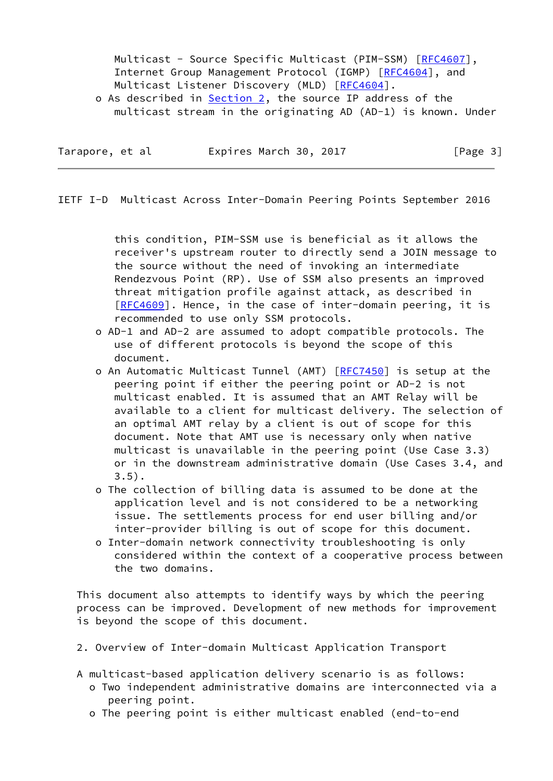Multicast - Source Specific Multicast (PIM-SSM) [[RFC4607](https://datatracker.ietf.org/doc/pdf/rfc4607)], Internet Group Management Protocol (IGMP) [\[RFC4604](https://datatracker.ietf.org/doc/pdf/rfc4604)], and Multicast Listener Discovery (MLD) [\[RFC4604](https://datatracker.ietf.org/doc/pdf/rfc4604)].

o As described in Section 2, the source IP address of the multicast stream in the originating AD (AD-1) is known. Under

| Tarapore, et al | Expires March 30, 2017 | [Page 3] |
|-----------------|------------------------|----------|
|-----------------|------------------------|----------|

<span id="page-3-0"></span>IETF I-D Multicast Across Inter-Domain Peering Points September 2016

 this condition, PIM-SSM use is beneficial as it allows the receiver's upstream router to directly send a JOIN message to the source without the need of invoking an intermediate Rendezvous Point (RP). Use of SSM also presents an improved threat mitigation profile against attack, as described in [[RFC4609](https://datatracker.ietf.org/doc/pdf/rfc4609)]. Hence, in the case of inter-domain peering, it is recommended to use only SSM protocols.

- o AD-1 and AD-2 are assumed to adopt compatible protocols. The use of different protocols is beyond the scope of this document.
- o An Automatic Multicast Tunnel (AMT) [\[RFC7450](https://datatracker.ietf.org/doc/pdf/rfc7450)] is setup at the peering point if either the peering point or AD-2 is not multicast enabled. It is assumed that an AMT Relay will be available to a client for multicast delivery. The selection of an optimal AMT relay by a client is out of scope for this document. Note that AMT use is necessary only when native multicast is unavailable in the peering point (Use Case 3.3) or in the downstream administrative domain (Use Cases 3.4, and 3.5).
- o The collection of billing data is assumed to be done at the application level and is not considered to be a networking issue. The settlements process for end user billing and/or inter-provider billing is out of scope for this document.
- o Inter-domain network connectivity troubleshooting is only considered within the context of a cooperative process between the two domains.

 This document also attempts to identify ways by which the peering process can be improved. Development of new methods for improvement is beyond the scope of this document.

- 2. Overview of Inter-domain Multicast Application Transport
- A multicast-based application delivery scenario is as follows:
	- o Two independent administrative domains are interconnected via a peering point.
	- o The peering point is either multicast enabled (end-to-end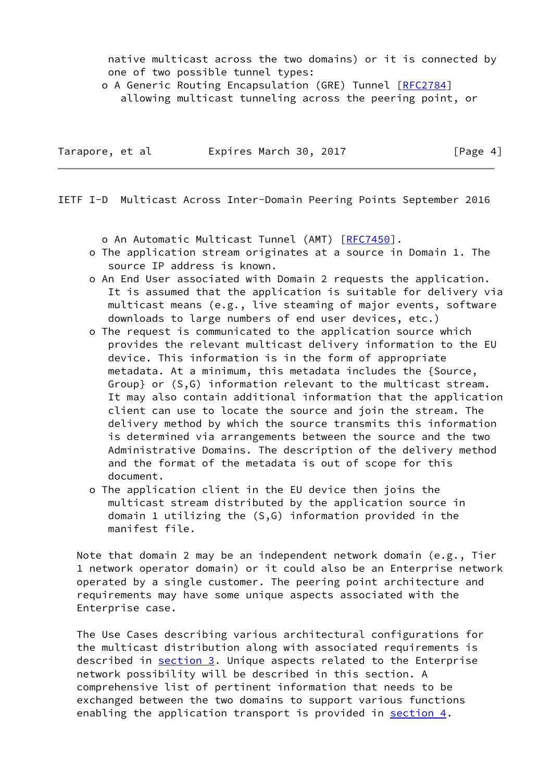native multicast across the two domains) or it is connected by one of two possible tunnel types:

o A Generic Routing Encapsulation (GRE) Tunnel [[RFC2784\]](https://datatracker.ietf.org/doc/pdf/rfc2784)

allowing multicast tunneling across the peering point, or

| Tarapore, et al | Expires March 30, 2017 | [Page 4] |
|-----------------|------------------------|----------|
|                 |                        |          |

IETF I-D Multicast Across Inter-Domain Peering Points September 2016

o An Automatic Multicast Tunnel (AMT) [[RFC7450](https://datatracker.ietf.org/doc/pdf/rfc7450)].

- o The application stream originates at a source in Domain 1. The source IP address is known.
- o An End User associated with Domain 2 requests the application. It is assumed that the application is suitable for delivery via multicast means (e.g., live steaming of major events, software downloads to large numbers of end user devices, etc.)
- o The request is communicated to the application source which provides the relevant multicast delivery information to the EU device. This information is in the form of appropriate metadata. At a minimum, this metadata includes the {Source, Group} or (S,G) information relevant to the multicast stream. It may also contain additional information that the application client can use to locate the source and join the stream. The delivery method by which the source transmits this information is determined via arrangements between the source and the two Administrative Domains. The description of the delivery method and the format of the metadata is out of scope for this document.
- o The application client in the EU device then joins the multicast stream distributed by the application source in domain 1 utilizing the (S,G) information provided in the manifest file.

 Note that domain 2 may be an independent network domain (e.g., Tier 1 network operator domain) or it could also be an Enterprise network operated by a single customer. The peering point architecture and requirements may have some unique aspects associated with the Enterprise case.

 The Use Cases describing various architectural configurations for the multicast distribution along with associated requirements is described in section 3. Unique aspects related to the Enterprise network possibility will be described in this section. A comprehensive list of pertinent information that needs to be exchanged between the two domains to support various functions enabling the application transport is provided in section  $4$ .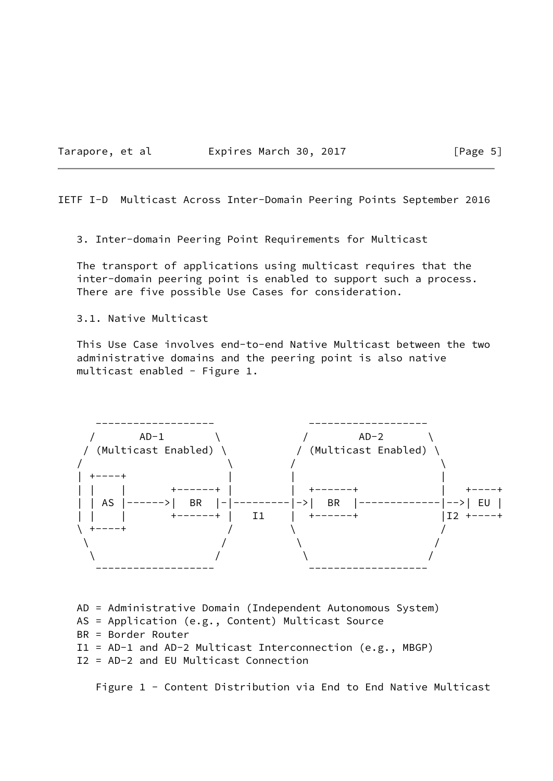Tarapore, et al **Expires March 30, 2017** [Page 5]

<span id="page-5-0"></span>IETF I-D Multicast Across Inter-Domain Peering Points September 2016

3. Inter-domain Peering Point Requirements for Multicast

 The transport of applications using multicast requires that the inter-domain peering point is enabled to support such a process. There are five possible Use Cases for consideration.

3.1. Native Multicast

 This Use Case involves end-to-end Native Multicast between the two administrative domains and the peering point is also native multicast enabled - Figure 1.



 AD = Administrative Domain (Independent Autonomous System) AS = Application (e.g., Content) Multicast Source BR = Border Router I1 = AD-1 and AD-2 Multicast Interconnection (e.g., MBGP) I2 = AD-2 and EU Multicast Connection

Figure 1 - Content Distribution via End to End Native Multicast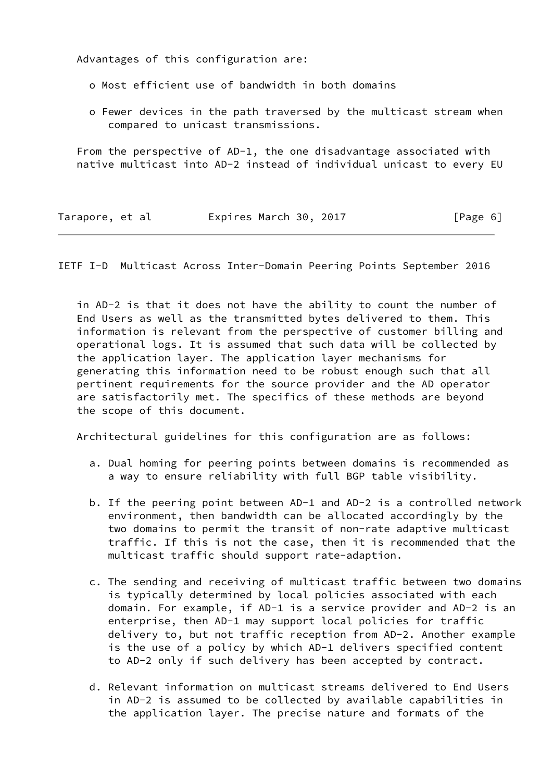Advantages of this configuration are:

- o Most efficient use of bandwidth in both domains
- o Fewer devices in the path traversed by the multicast stream when compared to unicast transmissions.

 From the perspective of AD-1, the one disadvantage associated with native multicast into AD-2 instead of individual unicast to every EU

| Tarapore, et al | Expires March 30, 2017 | [Page 6] |
|-----------------|------------------------|----------|
|                 |                        |          |

IETF I-D Multicast Across Inter-Domain Peering Points September 2016

 in AD-2 is that it does not have the ability to count the number of End Users as well as the transmitted bytes delivered to them. This information is relevant from the perspective of customer billing and operational logs. It is assumed that such data will be collected by the application layer. The application layer mechanisms for generating this information need to be robust enough such that all pertinent requirements for the source provider and the AD operator are satisfactorily met. The specifics of these methods are beyond the scope of this document.

Architectural guidelines for this configuration are as follows:

- a. Dual homing for peering points between domains is recommended as a way to ensure reliability with full BGP table visibility.
- b. If the peering point between AD-1 and AD-2 is a controlled network environment, then bandwidth can be allocated accordingly by the two domains to permit the transit of non-rate adaptive multicast traffic. If this is not the case, then it is recommended that the multicast traffic should support rate-adaption.
- c. The sending and receiving of multicast traffic between two domains is typically determined by local policies associated with each domain. For example, if AD-1 is a service provider and AD-2 is an enterprise, then AD-1 may support local policies for traffic delivery to, but not traffic reception from AD-2. Another example is the use of a policy by which AD-1 delivers specified content to AD-2 only if such delivery has been accepted by contract.
- d. Relevant information on multicast streams delivered to End Users in AD-2 is assumed to be collected by available capabilities in the application layer. The precise nature and formats of the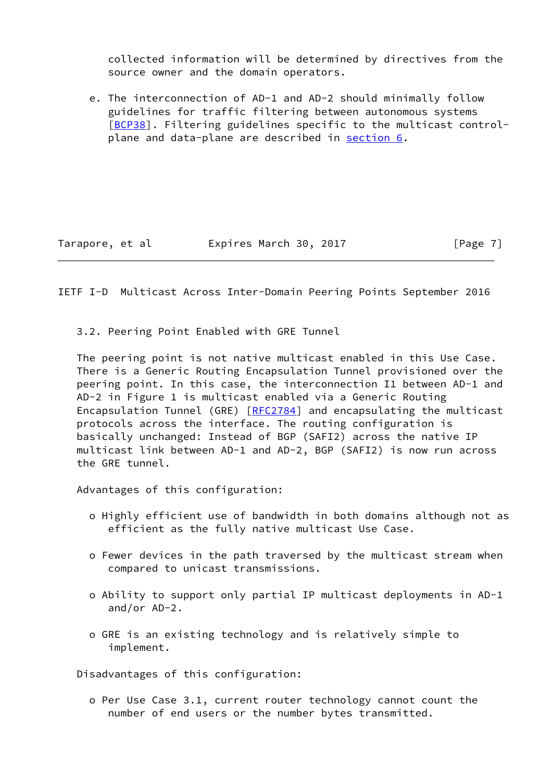collected information will be determined by directives from the source owner and the domain operators.

 e. The interconnection of AD-1 and AD-2 should minimally follow guidelines for traffic filtering between autonomous systems [\[BCP38\]](#page-29-0). Filtering guidelines specific to the multicast controlplane and data-plane are described in section 6.

Tarapore, et al expires March 30, 2017 [Page 7]

<span id="page-7-0"></span>IETF I-D Multicast Across Inter-Domain Peering Points September 2016

3.2. Peering Point Enabled with GRE Tunnel

 The peering point is not native multicast enabled in this Use Case. There is a Generic Routing Encapsulation Tunnel provisioned over the peering point. In this case, the interconnection I1 between AD-1 and AD-2 in Figure 1 is multicast enabled via a Generic Routing Encapsulation Tunnel (GRE) [[RFC2784\]](https://datatracker.ietf.org/doc/pdf/rfc2784) and encapsulating the multicast protocols across the interface. The routing configuration is basically unchanged: Instead of BGP (SAFI2) across the native IP multicast link between AD-1 and AD-2, BGP (SAFI2) is now run across the GRE tunnel.

Advantages of this configuration:

- o Highly efficient use of bandwidth in both domains although not as efficient as the fully native multicast Use Case.
- o Fewer devices in the path traversed by the multicast stream when compared to unicast transmissions.
- o Ability to support only partial IP multicast deployments in AD-1 and/or AD-2.
- o GRE is an existing technology and is relatively simple to implement.

Disadvantages of this configuration:

 o Per Use Case 3.1, current router technology cannot count the number of end users or the number bytes transmitted.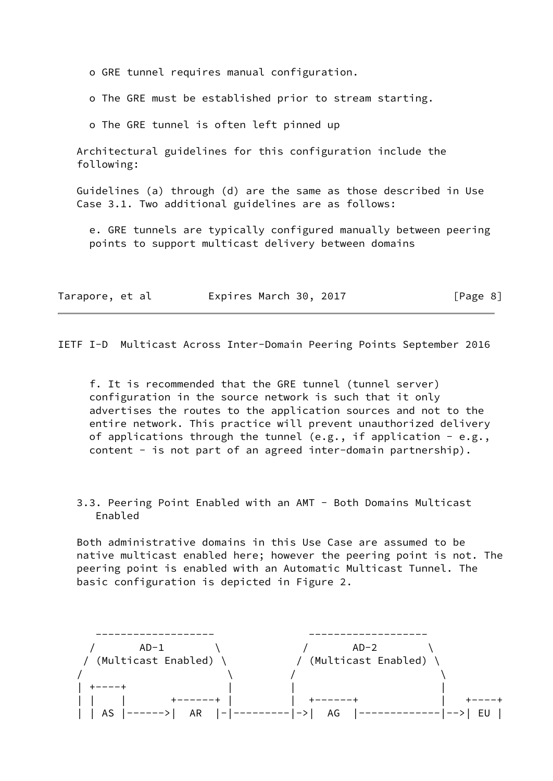o GRE tunnel requires manual configuration.

o The GRE must be established prior to stream starting.

o The GRE tunnel is often left pinned up

 Architectural guidelines for this configuration include the following:

 Guidelines (a) through (d) are the same as those described in Use Case 3.1. Two additional guidelines are as follows:

 e. GRE tunnels are typically configured manually between peering points to support multicast delivery between domains

| Tarapore, et al | Expires March 30, 2017 | [Page 8] |
|-----------------|------------------------|----------|
|-----------------|------------------------|----------|

<span id="page-8-0"></span>IETF I-D Multicast Across Inter-Domain Peering Points September 2016

 f. It is recommended that the GRE tunnel (tunnel server) configuration in the source network is such that it only advertises the routes to the application sources and not to the entire network. This practice will prevent unauthorized delivery of applications through the tunnel (e.g., if application - e.g., content - is not part of an agreed inter-domain partnership).

 3.3. Peering Point Enabled with an AMT - Both Domains Multicast Enabled

 Both administrative domains in this Use Case are assumed to be native multicast enabled here; however the peering point is not. The peering point is enabled with an Automatic Multicast Tunnel. The basic configuration is depicted in Figure 2.

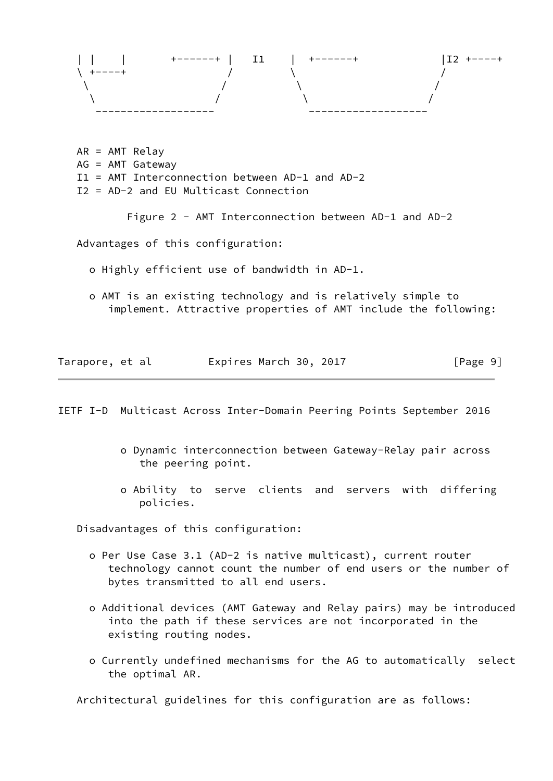

 AR = AMT Relay AG = AMT Gateway I1 = AMT Interconnection between AD-1 and AD-2 I2 = AD-2 and EU Multicast Connection

Figure 2 - AMT Interconnection between AD-1 and AD-2

Advantages of this configuration:

o Highly efficient use of bandwidth in AD-1.

 o AMT is an existing technology and is relatively simple to implement. Attractive properties of AMT include the following:

| Tarapore, et al | Expires March 30, 2017 | [Page 9] |
|-----------------|------------------------|----------|
|-----------------|------------------------|----------|

<span id="page-9-0"></span>IETF I-D Multicast Across Inter-Domain Peering Points September 2016

- o Dynamic interconnection between Gateway-Relay pair across the peering point.
- o Ability to serve clients and servers with differing policies.

Disadvantages of this configuration:

- o Per Use Case 3.1 (AD-2 is native multicast), current router technology cannot count the number of end users or the number of bytes transmitted to all end users.
- o Additional devices (AMT Gateway and Relay pairs) may be introduced into the path if these services are not incorporated in the existing routing nodes.
- o Currently undefined mechanisms for the AG to automatically select the optimal AR.

Architectural guidelines for this configuration are as follows: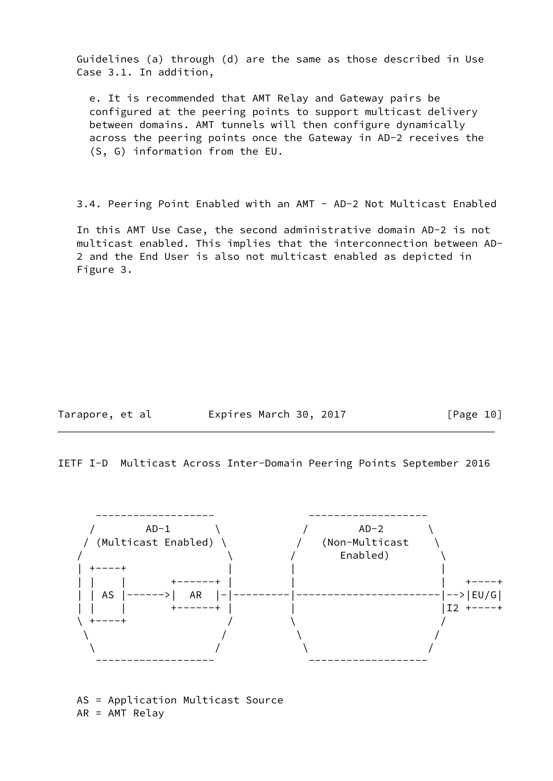Guidelines (a) through (d) are the same as those described in Use Case 3.1. In addition,

 e. It is recommended that AMT Relay and Gateway pairs be configured at the peering points to support multicast delivery between domains. AMT tunnels will then configure dynamically across the peering points once the Gateway in AD-2 receives the (S, G) information from the EU.

3.4. Peering Point Enabled with an AMT - AD-2 Not Multicast Enabled

 In this AMT Use Case, the second administrative domain AD-2 is not multicast enabled. This implies that the interconnection between AD- 2 and the End User is also not multicast enabled as depicted in Figure 3.

Tarapore, et al **Expires March 30, 2017** [Page 10]

IETF I-D Multicast Across Inter-Domain Peering Points September 2016



 AS = Application Multicast Source AR = AMT Relay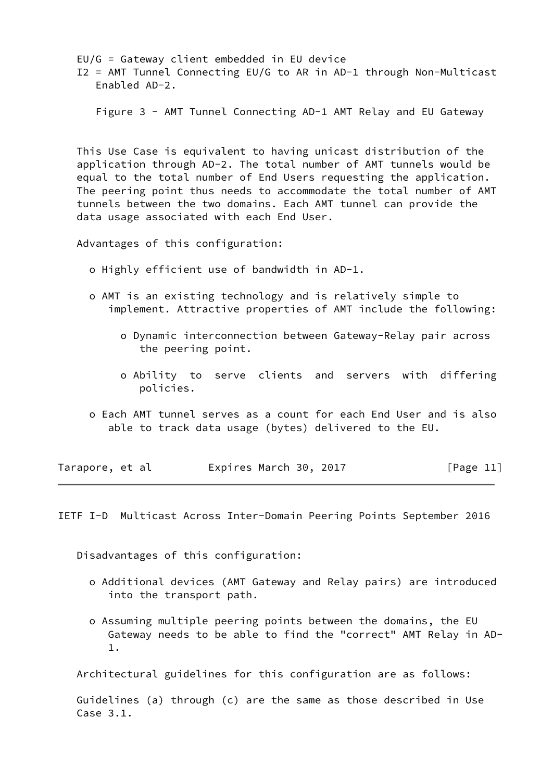EU/G = Gateway client embedded in EU device I2 = AMT Tunnel Connecting EU/G to AR in AD-1 through Non-Multicast Enabled AD-2.

Figure 3 - AMT Tunnel Connecting AD-1 AMT Relay and EU Gateway

 This Use Case is equivalent to having unicast distribution of the application through AD-2. The total number of AMT tunnels would be equal to the total number of End Users requesting the application. The peering point thus needs to accommodate the total number of AMT tunnels between the two domains. Each AMT tunnel can provide the data usage associated with each End User.

Advantages of this configuration:

o Highly efficient use of bandwidth in AD-1.

- o AMT is an existing technology and is relatively simple to implement. Attractive properties of AMT include the following:
	- o Dynamic interconnection between Gateway-Relay pair across the peering point.
	- o Ability to serve clients and servers with differing policies.
- o Each AMT tunnel serves as a count for each End User and is also able to track data usage (bytes) delivered to the EU.

| Tarapore, et al | Expires March 30, 2017 | [Page 11] |
|-----------------|------------------------|-----------|
|-----------------|------------------------|-----------|

<span id="page-11-0"></span>IETF I-D Multicast Across Inter-Domain Peering Points September 2016

Disadvantages of this configuration:

- o Additional devices (AMT Gateway and Relay pairs) are introduced into the transport path.
- o Assuming multiple peering points between the domains, the EU Gateway needs to be able to find the "correct" AMT Relay in AD- 1.

Architectural guidelines for this configuration are as follows:

 Guidelines (a) through (c) are the same as those described in Use Case 3.1.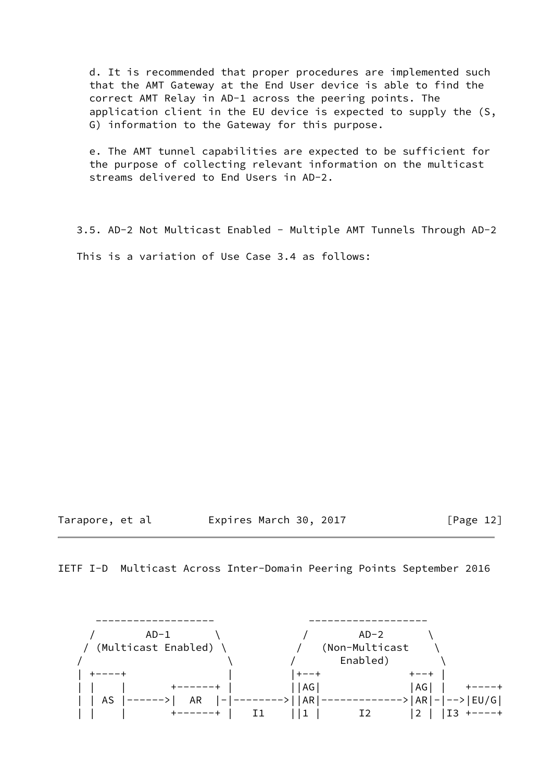d. It is recommended that proper procedures are implemented such that the AMT Gateway at the End User device is able to find the correct AMT Relay in AD-1 across the peering points. The application client in the EU device is expected to supply the (S, G) information to the Gateway for this purpose.

 e. The AMT tunnel capabilities are expected to be sufficient for the purpose of collecting relevant information on the multicast streams delivered to End Users in AD-2.

3.5. AD-2 Not Multicast Enabled - Multiple AMT Tunnels Through AD-2

This is a variation of Use Case 3.4 as follows:

Tarapore, et al **Expires March 30, 2017** [Page 12]

IETF I-D Multicast Across Inter-Domain Peering Points September 2016

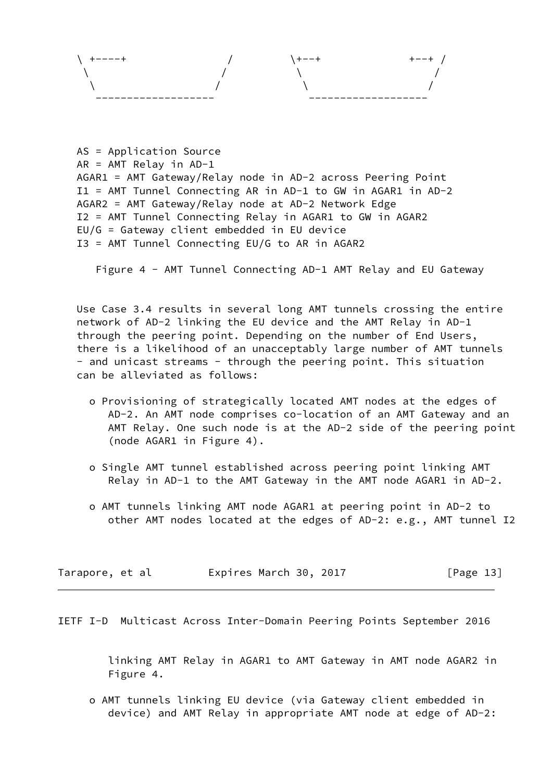

```
 AS = Application Source
AR = AMT Relay in AD-1
AGAR1 = AMT Gateway/Relay node in AD-2 across Peering Point
I1 = AMT Tunnel Connecting AR in AD-1 to GW in AGAR1 in AD-2
AGAR2 = AMT Gateway/Relay node at AD-2 Network Edge
I2 = AMT Tunnel Connecting Relay in AGAR1 to GW in AGAR2
EU/G = Gateway client embedded in EU device
I3 = AMT Tunnel Connecting EU/G to AR in AGAR2
```
Figure 4 - AMT Tunnel Connecting AD-1 AMT Relay and EU Gateway

 Use Case 3.4 results in several long AMT tunnels crossing the entire network of AD-2 linking the EU device and the AMT Relay in AD-1 through the peering point. Depending on the number of End Users, there is a likelihood of an unacceptably large number of AMT tunnels - and unicast streams - through the peering point. This situation can be alleviated as follows:

- o Provisioning of strategically located AMT nodes at the edges of AD-2. An AMT node comprises co-location of an AMT Gateway and an AMT Relay. One such node is at the AD-2 side of the peering point (node AGAR1 in Figure 4).
- o Single AMT tunnel established across peering point linking AMT Relay in AD-1 to the AMT Gateway in the AMT node AGAR1 in AD-2.
- o AMT tunnels linking AMT node AGAR1 at peering point in AD-2 to other AMT nodes located at the edges of AD-2: e.g., AMT tunnel I2

| Tarapore, et al |  | Expires March 30, 2017 |  |  |  | [Page 13] |  |
|-----------------|--|------------------------|--|--|--|-----------|--|
|-----------------|--|------------------------|--|--|--|-----------|--|

<span id="page-13-0"></span>IETF I-D Multicast Across Inter-Domain Peering Points September 2016

 linking AMT Relay in AGAR1 to AMT Gateway in AMT node AGAR2 in Figure 4.

 o AMT tunnels linking EU device (via Gateway client embedded in device) and AMT Relay in appropriate AMT node at edge of AD-2: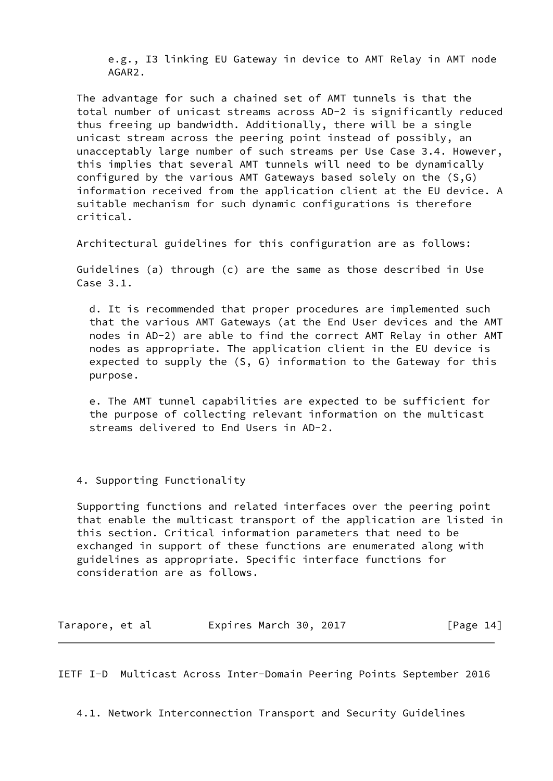e.g., I3 linking EU Gateway in device to AMT Relay in AMT node AGAR2.

 The advantage for such a chained set of AMT tunnels is that the total number of unicast streams across AD-2 is significantly reduced thus freeing up bandwidth. Additionally, there will be a single unicast stream across the peering point instead of possibly, an unacceptably large number of such streams per Use Case 3.4. However, this implies that several AMT tunnels will need to be dynamically configured by the various AMT Gateways based solely on the (S,G) information received from the application client at the EU device. A suitable mechanism for such dynamic configurations is therefore critical.

Architectural guidelines for this configuration are as follows:

 Guidelines (a) through (c) are the same as those described in Use Case 3.1.

 d. It is recommended that proper procedures are implemented such that the various AMT Gateways (at the End User devices and the AMT nodes in AD-2) are able to find the correct AMT Relay in other AMT nodes as appropriate. The application client in the EU device is expected to supply the (S, G) information to the Gateway for this purpose.

 e. The AMT tunnel capabilities are expected to be sufficient for the purpose of collecting relevant information on the multicast streams delivered to End Users in AD-2.

4. Supporting Functionality

 Supporting functions and related interfaces over the peering point that enable the multicast transport of the application are listed in this section. Critical information parameters that need to be exchanged in support of these functions are enumerated along with guidelines as appropriate. Specific interface functions for consideration are as follows.

| Tarapore, et al | Expires March 30, 2017 | [Page 14] |
|-----------------|------------------------|-----------|
|-----------------|------------------------|-----------|

<span id="page-14-0"></span>IETF I-D Multicast Across Inter-Domain Peering Points September 2016

4.1. Network Interconnection Transport and Security Guidelines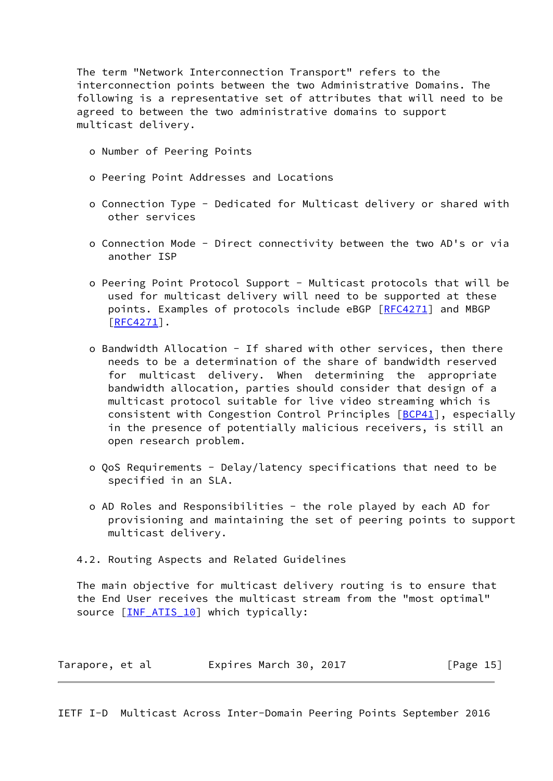The term "Network Interconnection Transport" refers to the interconnection points between the two Administrative Domains. The following is a representative set of attributes that will need to be agreed to between the two administrative domains to support multicast delivery.

- o Number of Peering Points
- o Peering Point Addresses and Locations
- o Connection Type Dedicated for Multicast delivery or shared with other services
- o Connection Mode Direct connectivity between the two AD's or via another ISP
- o Peering Point Protocol Support Multicast protocols that will be used for multicast delivery will need to be supported at these points. Examples of protocols include eBGP [\[RFC4271](https://datatracker.ietf.org/doc/pdf/rfc4271)] and MBGP [\[RFC4271](https://datatracker.ietf.org/doc/pdf/rfc4271)].
- o Bandwidth Allocation If shared with other services, then there needs to be a determination of the share of bandwidth reserved for multicast delivery. When determining the appropriate bandwidth allocation, parties should consider that design of a multicast protocol suitable for live video streaming which is consistent with Congestion Control Principles [[BCP41\]](#page-29-1), especially in the presence of potentially malicious receivers, is still an open research problem.
- o QoS Requirements Delay/latency specifications that need to be specified in an SLA.
- o AD Roles and Responsibilities the role played by each AD for provisioning and maintaining the set of peering points to support multicast delivery.
- 4.2. Routing Aspects and Related Guidelines

 The main objective for multicast delivery routing is to ensure that the End User receives the multicast stream from the "most optimal" source [INF ATIS 10] which typically:

| Tarapore, et al | Expires March 30, 2017 | [Page 15] |
|-----------------|------------------------|-----------|
|-----------------|------------------------|-----------|

<span id="page-15-0"></span>IETF I-D Multicast Across Inter-Domain Peering Points September 2016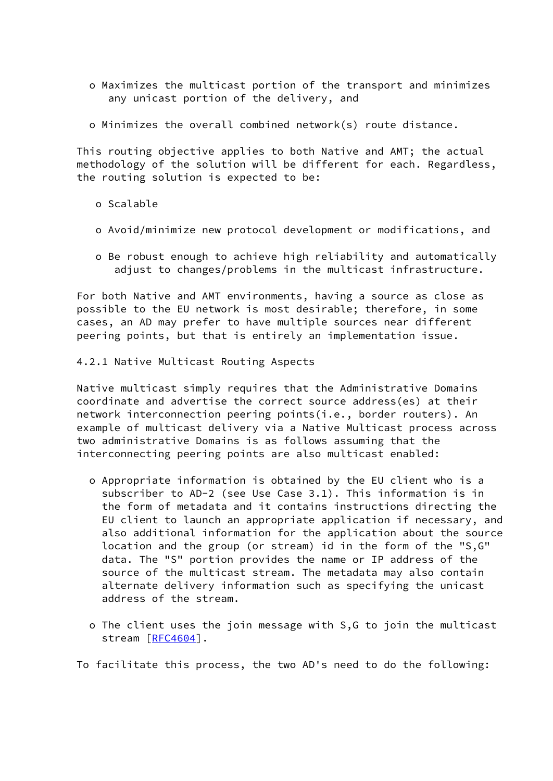- o Maximizes the multicast portion of the transport and minimizes any unicast portion of the delivery, and
- o Minimizes the overall combined network(s) route distance.

 This routing objective applies to both Native and AMT; the actual methodology of the solution will be different for each. Regardless, the routing solution is expected to be:

- o Scalable
- o Avoid/minimize new protocol development or modifications, and
- o Be robust enough to achieve high reliability and automatically adjust to changes/problems in the multicast infrastructure.

 For both Native and AMT environments, having a source as close as possible to the EU network is most desirable; therefore, in some cases, an AD may prefer to have multiple sources near different peering points, but that is entirely an implementation issue.

4.2.1 Native Multicast Routing Aspects

 Native multicast simply requires that the Administrative Domains coordinate and advertise the correct source address(es) at their network interconnection peering points(i.e., border routers). An example of multicast delivery via a Native Multicast process across two administrative Domains is as follows assuming that the interconnecting peering points are also multicast enabled:

- o Appropriate information is obtained by the EU client who is a subscriber to AD-2 (see Use Case 3.1). This information is in the form of metadata and it contains instructions directing the EU client to launch an appropriate application if necessary, and also additional information for the application about the source location and the group (or stream) id in the form of the "S,G" data. The "S" portion provides the name or IP address of the source of the multicast stream. The metadata may also contain alternate delivery information such as specifying the unicast address of the stream.
- o The client uses the join message with S,G to join the multicast stream [[RFC4604\]](https://datatracker.ietf.org/doc/pdf/rfc4604).

To facilitate this process, the two AD's need to do the following: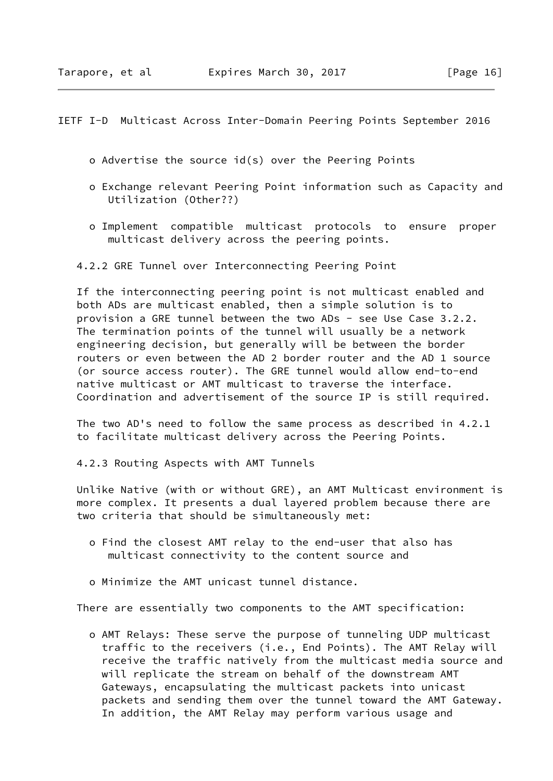<span id="page-17-0"></span>IETF I-D Multicast Across Inter-Domain Peering Points September 2016

- o Advertise the source id(s) over the Peering Points
- o Exchange relevant Peering Point information such as Capacity and Utilization (Other??)
- o Implement compatible multicast protocols to ensure proper multicast delivery across the peering points.
- 4.2.2 GRE Tunnel over Interconnecting Peering Point

 If the interconnecting peering point is not multicast enabled and both ADs are multicast enabled, then a simple solution is to provision a GRE tunnel between the two ADs - see Use Case 3.2.2. The termination points of the tunnel will usually be a network engineering decision, but generally will be between the border routers or even between the AD 2 border router and the AD 1 source (or source access router). The GRE tunnel would allow end-to-end native multicast or AMT multicast to traverse the interface. Coordination and advertisement of the source IP is still required.

 The two AD's need to follow the same process as described in 4.2.1 to facilitate multicast delivery across the Peering Points.

4.2.3 Routing Aspects with AMT Tunnels

 Unlike Native (with or without GRE), an AMT Multicast environment is more complex. It presents a dual layered problem because there are two criteria that should be simultaneously met:

- o Find the closest AMT relay to the end-user that also has multicast connectivity to the content source and
- o Minimize the AMT unicast tunnel distance.

There are essentially two components to the AMT specification:

 o AMT Relays: These serve the purpose of tunneling UDP multicast traffic to the receivers (i.e., End Points). The AMT Relay will receive the traffic natively from the multicast media source and will replicate the stream on behalf of the downstream AMT Gateways, encapsulating the multicast packets into unicast packets and sending them over the tunnel toward the AMT Gateway. In addition, the AMT Relay may perform various usage and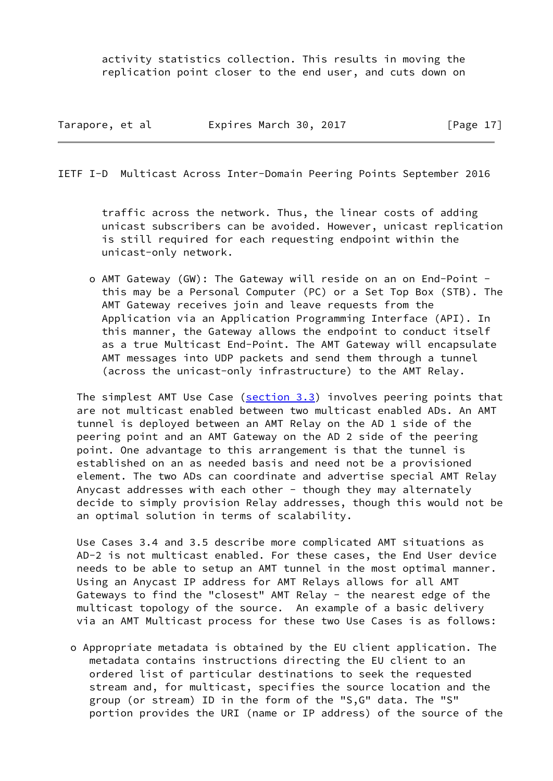activity statistics collection. This results in moving the replication point closer to the end user, and cuts down on

| Tarapore, et al | Expires March 30, 2017 |  | [Page $17$ ] |  |
|-----------------|------------------------|--|--------------|--|
|                 |                        |  |              |  |

IETF I-D Multicast Across Inter-Domain Peering Points September 2016

 traffic across the network. Thus, the linear costs of adding unicast subscribers can be avoided. However, unicast replication is still required for each requesting endpoint within the unicast-only network.

 o AMT Gateway (GW): The Gateway will reside on an on End-Point this may be a Personal Computer (PC) or a Set Top Box (STB). The AMT Gateway receives join and leave requests from the Application via an Application Programming Interface (API). In this manner, the Gateway allows the endpoint to conduct itself as a true Multicast End-Point. The AMT Gateway will encapsulate AMT messages into UDP packets and send them through a tunnel (across the unicast-only infrastructure) to the AMT Relay.

 The simplest AMT Use Case (section 3.3) involves peering points that are not multicast enabled between two multicast enabled ADs. An AMT tunnel is deployed between an AMT Relay on the AD 1 side of the peering point and an AMT Gateway on the AD 2 side of the peering point. One advantage to this arrangement is that the tunnel is established on an as needed basis and need not be a provisioned element. The two ADs can coordinate and advertise special AMT Relay Anycast addresses with each other - though they may alternately decide to simply provision Relay addresses, though this would not be an optimal solution in terms of scalability.

 Use Cases 3.4 and 3.5 describe more complicated AMT situations as AD-2 is not multicast enabled. For these cases, the End User device needs to be able to setup an AMT tunnel in the most optimal manner. Using an Anycast IP address for AMT Relays allows for all AMT Gateways to find the "closest" AMT Relay - the nearest edge of the multicast topology of the source. An example of a basic delivery via an AMT Multicast process for these two Use Cases is as follows:

 o Appropriate metadata is obtained by the EU client application. The metadata contains instructions directing the EU client to an ordered list of particular destinations to seek the requested stream and, for multicast, specifies the source location and the group (or stream) ID in the form of the "S,G" data. The "S" portion provides the URI (name or IP address) of the source of the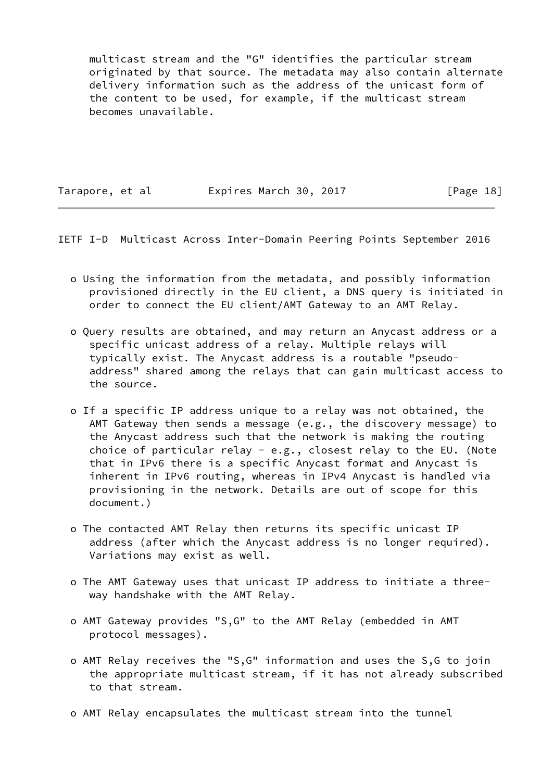multicast stream and the "G" identifies the particular stream originated by that source. The metadata may also contain alternate delivery information such as the address of the unicast form of the content to be used, for example, if the multicast stream becomes unavailable.

Tarapore, et al **Expires March 30, 2017** [Page 18]

<span id="page-19-0"></span>IETF I-D Multicast Across Inter-Domain Peering Points September 2016

- o Using the information from the metadata, and possibly information provisioned directly in the EU client, a DNS query is initiated in order to connect the EU client/AMT Gateway to an AMT Relay.
- o Query results are obtained, and may return an Anycast address or a specific unicast address of a relay. Multiple relays will typically exist. The Anycast address is a routable "pseudo address" shared among the relays that can gain multicast access to the source.
- o If a specific IP address unique to a relay was not obtained, the AMT Gateway then sends a message (e.g., the discovery message) to the Anycast address such that the network is making the routing choice of particular relay - e.g., closest relay to the EU. (Note that in IPv6 there is a specific Anycast format and Anycast is inherent in IPv6 routing, whereas in IPv4 Anycast is handled via provisioning in the network. Details are out of scope for this document.)
- o The contacted AMT Relay then returns its specific unicast IP address (after which the Anycast address is no longer required). Variations may exist as well.
- o The AMT Gateway uses that unicast IP address to initiate a three way handshake with the AMT Relay.
- o AMT Gateway provides "S,G" to the AMT Relay (embedded in AMT protocol messages).
- o AMT Relay receives the "S,G" information and uses the S,G to join the appropriate multicast stream, if it has not already subscribed to that stream.
- o AMT Relay encapsulates the multicast stream into the tunnel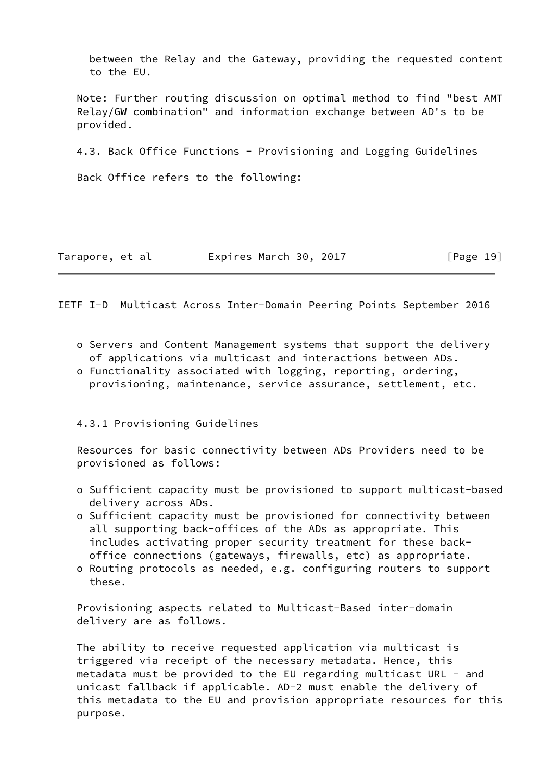between the Relay and the Gateway, providing the requested content to the EU.

 Note: Further routing discussion on optimal method to find "best AMT Relay/GW combination" and information exchange between AD's to be provided.

4.3. Back Office Functions - Provisioning and Logging Guidelines

Back Office refers to the following:

|  | Tarapore, et al | Expires March 30, 2017 | [Page 19] |
|--|-----------------|------------------------|-----------|
|--|-----------------|------------------------|-----------|

<span id="page-20-0"></span>IETF I-D Multicast Across Inter-Domain Peering Points September 2016

- o Servers and Content Management systems that support the delivery of applications via multicast and interactions between ADs.
- o Functionality associated with logging, reporting, ordering, provisioning, maintenance, service assurance, settlement, etc.

4.3.1 Provisioning Guidelines

 Resources for basic connectivity between ADs Providers need to be provisioned as follows:

- o Sufficient capacity must be provisioned to support multicast-based delivery across ADs.
- o Sufficient capacity must be provisioned for connectivity between all supporting back-offices of the ADs as appropriate. This includes activating proper security treatment for these back office connections (gateways, firewalls, etc) as appropriate.
- o Routing protocols as needed, e.g. configuring routers to support these.

 Provisioning aspects related to Multicast-Based inter-domain delivery are as follows.

 The ability to receive requested application via multicast is triggered via receipt of the necessary metadata. Hence, this metadata must be provided to the EU regarding multicast URL - and unicast fallback if applicable. AD-2 must enable the delivery of this metadata to the EU and provision appropriate resources for this purpose.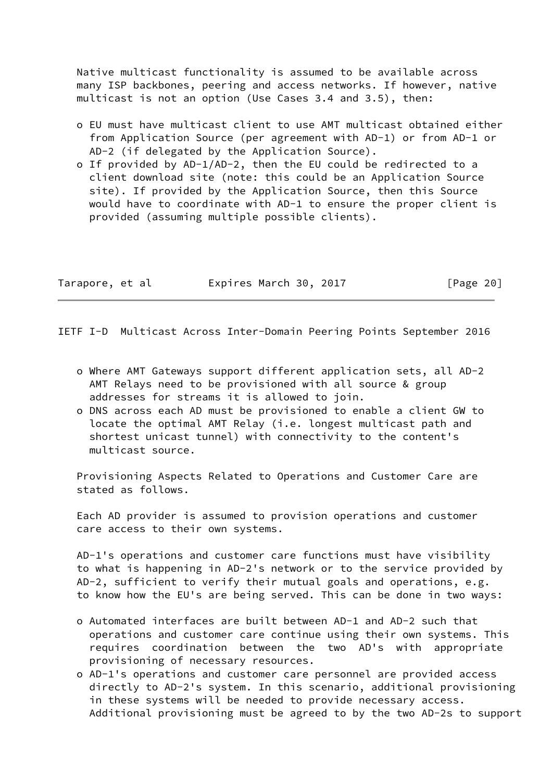Native multicast functionality is assumed to be available across many ISP backbones, peering and access networks. If however, native multicast is not an option (Use Cases 3.4 and 3.5), then:

- o EU must have multicast client to use AMT multicast obtained either from Application Source (per agreement with AD-1) or from AD-1 or AD-2 (if delegated by the Application Source).
- o If provided by AD-1/AD-2, then the EU could be redirected to a client download site (note: this could be an Application Source site). If provided by the Application Source, then this Source would have to coordinate with AD-1 to ensure the proper client is provided (assuming multiple possible clients).

| Tarapore, et al | Expires March 30, 2017 | [Page 20] |
|-----------------|------------------------|-----------|
|-----------------|------------------------|-----------|

<span id="page-21-0"></span>IETF I-D Multicast Across Inter-Domain Peering Points September 2016

- o Where AMT Gateways support different application sets, all AD-2 AMT Relays need to be provisioned with all source & group addresses for streams it is allowed to join.
- o DNS across each AD must be provisioned to enable a client GW to locate the optimal AMT Relay (i.e. longest multicast path and shortest unicast tunnel) with connectivity to the content's multicast source.

 Provisioning Aspects Related to Operations and Customer Care are stated as follows.

 Each AD provider is assumed to provision operations and customer care access to their own systems.

 AD-1's operations and customer care functions must have visibility to what is happening in AD-2's network or to the service provided by AD-2, sufficient to verify their mutual goals and operations, e.g. to know how the EU's are being served. This can be done in two ways:

- o Automated interfaces are built between AD-1 and AD-2 such that operations and customer care continue using their own systems. This requires coordination between the two AD's with appropriate provisioning of necessary resources.
- o AD-1's operations and customer care personnel are provided access directly to AD-2's system. In this scenario, additional provisioning in these systems will be needed to provide necessary access. Additional provisioning must be agreed to by the two AD-2s to support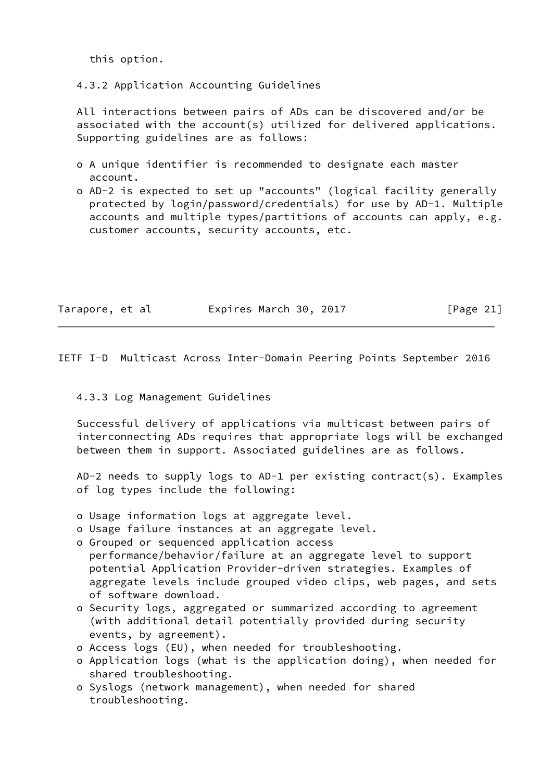this option.

4.3.2 Application Accounting Guidelines

 All interactions between pairs of ADs can be discovered and/or be associated with the account(s) utilized for delivered applications. Supporting guidelines are as follows:

- o A unique identifier is recommended to designate each master account.
- o AD-2 is expected to set up "accounts" (logical facility generally protected by login/password/credentials) for use by AD-1. Multiple accounts and multiple types/partitions of accounts can apply, e.g. customer accounts, security accounts, etc.

| Tarapore, et al | Expires March 30, 2017 | [Page 21] |
|-----------------|------------------------|-----------|
|                 |                        |           |

<span id="page-22-0"></span>IETF I-D Multicast Across Inter-Domain Peering Points September 2016

### 4.3.3 Log Management Guidelines

 Successful delivery of applications via multicast between pairs of interconnecting ADs requires that appropriate logs will be exchanged between them in support. Associated guidelines are as follows.

 AD-2 needs to supply logs to AD-1 per existing contract(s). Examples of log types include the following:

- o Usage information logs at aggregate level.
- o Usage failure instances at an aggregate level.
- o Grouped or sequenced application access performance/behavior/failure at an aggregate level to support potential Application Provider-driven strategies. Examples of aggregate levels include grouped video clips, web pages, and sets of software download.
- o Security logs, aggregated or summarized according to agreement (with additional detail potentially provided during security events, by agreement).
- o Access logs (EU), when needed for troubleshooting.
- o Application logs (what is the application doing), when needed for shared troubleshooting.
- o Syslogs (network management), when needed for shared troubleshooting.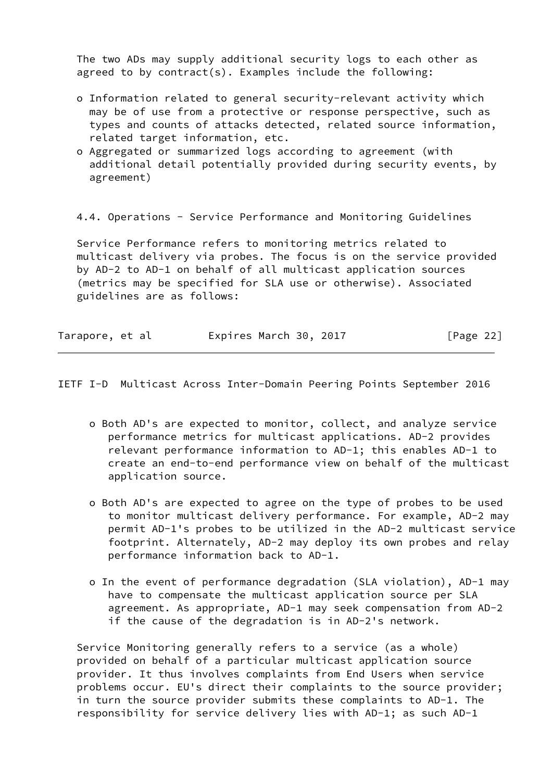The two ADs may supply additional security logs to each other as agreed to by contract(s). Examples include the following:

- o Information related to general security-relevant activity which may be of use from a protective or response perspective, such as types and counts of attacks detected, related source information, related target information, etc.
- o Aggregated or summarized logs according to agreement (with additional detail potentially provided during security events, by agreement)

4.4. Operations - Service Performance and Monitoring Guidelines

 Service Performance refers to monitoring metrics related to multicast delivery via probes. The focus is on the service provided by AD-2 to AD-1 on behalf of all multicast application sources (metrics may be specified for SLA use or otherwise). Associated guidelines are as follows:

| Tarapore, et al | Expires March 30, 2017 | [Page 22] |
|-----------------|------------------------|-----------|
|                 |                        |           |

IETF I-D Multicast Across Inter-Domain Peering Points September 2016

- o Both AD's are expected to monitor, collect, and analyze service performance metrics for multicast applications. AD-2 provides relevant performance information to AD-1; this enables AD-1 to create an end-to-end performance view on behalf of the multicast application source.
- o Both AD's are expected to agree on the type of probes to be used to monitor multicast delivery performance. For example, AD-2 may permit AD-1's probes to be utilized in the AD-2 multicast service footprint. Alternately, AD-2 may deploy its own probes and relay performance information back to AD-1.
- o In the event of performance degradation (SLA violation), AD-1 may have to compensate the multicast application source per SLA agreement. As appropriate, AD-1 may seek compensation from AD-2 if the cause of the degradation is in AD-2's network.

 Service Monitoring generally refers to a service (as a whole) provided on behalf of a particular multicast application source provider. It thus involves complaints from End Users when service problems occur. EU's direct their complaints to the source provider; in turn the source provider submits these complaints to AD-1. The responsibility for service delivery lies with AD-1; as such AD-1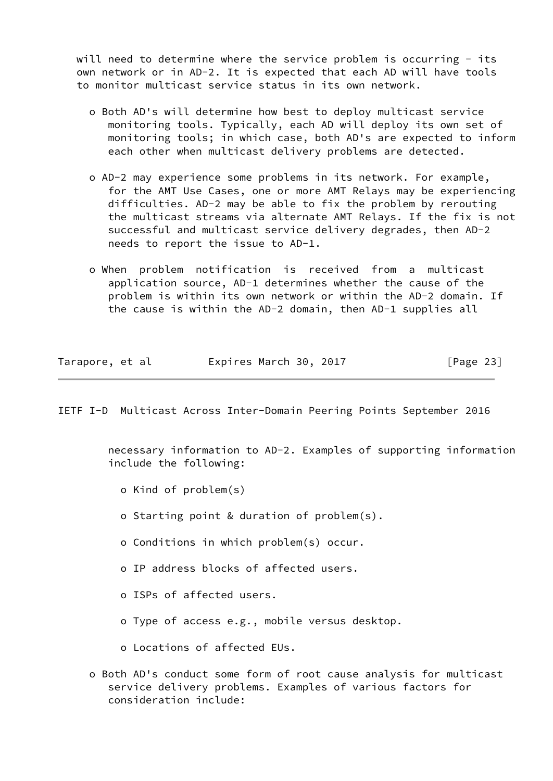will need to determine where the service problem is occurring - its own network or in AD-2. It is expected that each AD will have tools to monitor multicast service status in its own network.

- o Both AD's will determine how best to deploy multicast service monitoring tools. Typically, each AD will deploy its own set of monitoring tools; in which case, both AD's are expected to inform each other when multicast delivery problems are detected.
- o AD-2 may experience some problems in its network. For example, for the AMT Use Cases, one or more AMT Relays may be experiencing difficulties. AD-2 may be able to fix the problem by rerouting the multicast streams via alternate AMT Relays. If the fix is not successful and multicast service delivery degrades, then AD-2 needs to report the issue to AD-1.
- o When problem notification is received from a multicast application source, AD-1 determines whether the cause of the problem is within its own network or within the AD-2 domain. If the cause is within the AD-2 domain, then AD-1 supplies all

| Tarapore, et al | Expires March 30, 2017 | [Page 23] |
|-----------------|------------------------|-----------|
|-----------------|------------------------|-----------|

IETF I-D Multicast Across Inter-Domain Peering Points September 2016

 necessary information to AD-2. Examples of supporting information include the following:

- o Kind of problem(s)
- o Starting point & duration of problem(s).
- o Conditions in which problem(s) occur.
- o IP address blocks of affected users.
- o ISPs of affected users.
- o Type of access e.g., mobile versus desktop.
- o Locations of affected EUs.
- o Both AD's conduct some form of root cause analysis for multicast service delivery problems. Examples of various factors for consideration include: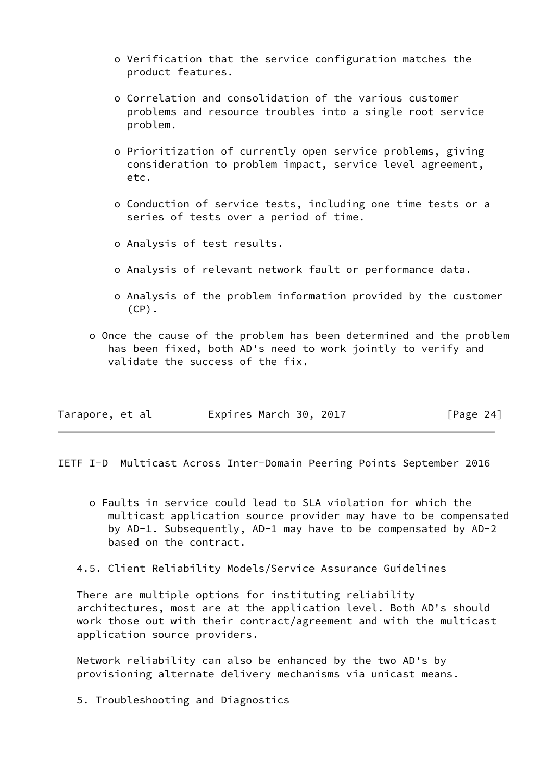- o Verification that the service configuration matches the product features.
- o Correlation and consolidation of the various customer problems and resource troubles into a single root service problem.
- o Prioritization of currently open service problems, giving consideration to problem impact, service level agreement, etc.
- o Conduction of service tests, including one time tests or a series of tests over a period of time.
- o Analysis of test results.
- o Analysis of relevant network fault or performance data.
- o Analysis of the problem information provided by the customer  $(CP)$ .
- o Once the cause of the problem has been determined and the problem has been fixed, both AD's need to work jointly to verify and validate the success of the fix.

|  | Tarapore, et al | Expires March 30, 2017 | [Page 24] |
|--|-----------------|------------------------|-----------|
|--|-----------------|------------------------|-----------|

<span id="page-25-0"></span>IETF I-D Multicast Across Inter-Domain Peering Points September 2016

- o Faults in service could lead to SLA violation for which the multicast application source provider may have to be compensated by AD-1. Subsequently, AD-1 may have to be compensated by AD-2 based on the contract.
- 4.5. Client Reliability Models/Service Assurance Guidelines

 There are multiple options for instituting reliability architectures, most are at the application level. Both AD's should work those out with their contract/agreement and with the multicast application source providers.

 Network reliability can also be enhanced by the two AD's by provisioning alternate delivery mechanisms via unicast means.

5. Troubleshooting and Diagnostics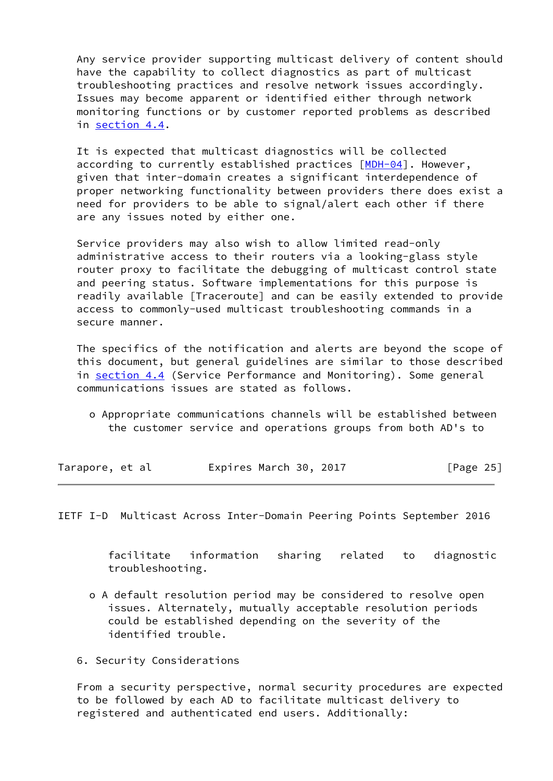Any service provider supporting multicast delivery of content should have the capability to collect diagnostics as part of multicast troubleshooting practices and resolve network issues accordingly. Issues may become apparent or identified either through network monitoring functions or by customer reported problems as described in section 4.4.

 It is expected that multicast diagnostics will be collected according to currently established practices  $[MDH-04]$  $[MDH-04]$ . However, given that inter-domain creates a significant interdependence of proper networking functionality between providers there does exist a need for providers to be able to signal/alert each other if there are any issues noted by either one.

 Service providers may also wish to allow limited read-only administrative access to their routers via a looking-glass style router proxy to facilitate the debugging of multicast control state and peering status. Software implementations for this purpose is readily available [Traceroute] and can be easily extended to provide access to commonly-used multicast troubleshooting commands in a secure manner.

 The specifics of the notification and alerts are beyond the scope of this document, but general guidelines are similar to those described in section 4.4 (Service Performance and Monitoring). Some general communications issues are stated as follows.

 o Appropriate communications channels will be established between the customer service and operations groups from both AD's to

| Tarapore, et al | Expires March 30, 2017 |  | [Page 25] |
|-----------------|------------------------|--|-----------|
|-----------------|------------------------|--|-----------|

<span id="page-26-0"></span>IETF I-D Multicast Across Inter-Domain Peering Points September 2016

 facilitate information sharing related to diagnostic troubleshooting.

- o A default resolution period may be considered to resolve open issues. Alternately, mutually acceptable resolution periods could be established depending on the severity of the identified trouble.
- 6. Security Considerations

 From a security perspective, normal security procedures are expected to be followed by each AD to facilitate multicast delivery to registered and authenticated end users. Additionally: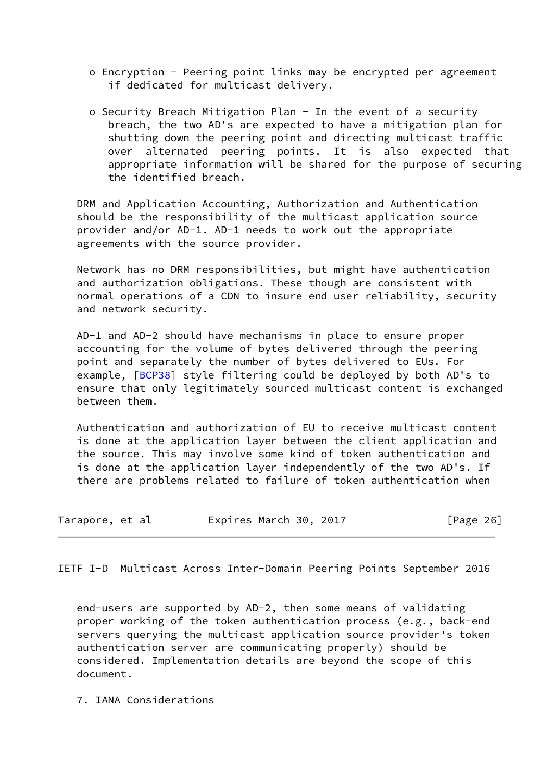- o Encryption Peering point links may be encrypted per agreement if dedicated for multicast delivery.
- o Security Breach Mitigation Plan In the event of a security breach, the two AD's are expected to have a mitigation plan for shutting down the peering point and directing multicast traffic over alternated peering points. It is also expected that appropriate information will be shared for the purpose of securing the identified breach.

 DRM and Application Accounting, Authorization and Authentication should be the responsibility of the multicast application source provider and/or AD-1. AD-1 needs to work out the appropriate agreements with the source provider.

 Network has no DRM responsibilities, but might have authentication and authorization obligations. These though are consistent with normal operations of a CDN to insure end user reliability, security and network security.

 AD-1 and AD-2 should have mechanisms in place to ensure proper accounting for the volume of bytes delivered through the peering point and separately the number of bytes delivered to EUs. For example, [\[BCP38\]](#page-29-0) style filtering could be deployed by both AD's to ensure that only legitimately sourced multicast content is exchanged between them.

 Authentication and authorization of EU to receive multicast content is done at the application layer between the client application and the source. This may involve some kind of token authentication and is done at the application layer independently of the two AD's. If there are problems related to failure of token authentication when

| Tarapore, et al |  | Expires March 30, 2017 |  |  |  | [Page 26] |  |
|-----------------|--|------------------------|--|--|--|-----------|--|
|-----------------|--|------------------------|--|--|--|-----------|--|

<span id="page-27-0"></span>IETF I-D Multicast Across Inter-Domain Peering Points September 2016

 end-users are supported by AD-2, then some means of validating proper working of the token authentication process (e.g., back-end servers querying the multicast application source provider's token authentication server are communicating properly) should be considered. Implementation details are beyond the scope of this document.

7. IANA Considerations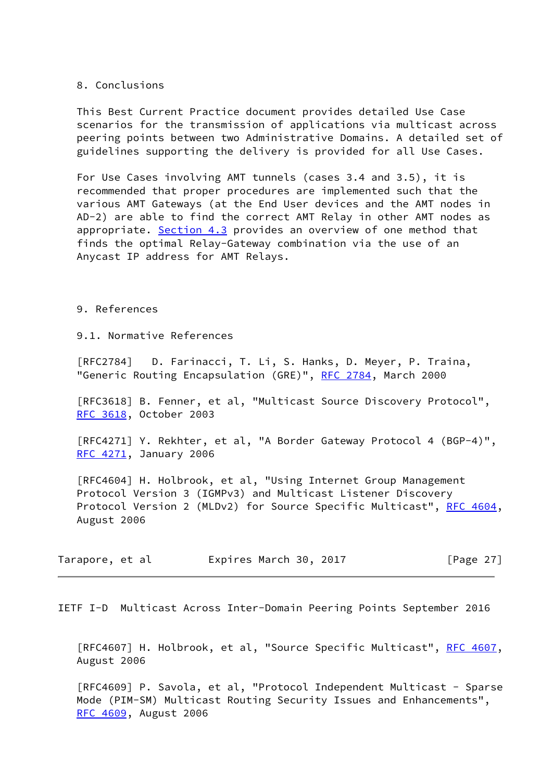8. Conclusions

 This Best Current Practice document provides detailed Use Case scenarios for the transmission of applications via multicast across peering points between two Administrative Domains. A detailed set of guidelines supporting the delivery is provided for all Use Cases.

 For Use Cases involving AMT tunnels (cases 3.4 and 3.5), it is recommended that proper procedures are implemented such that the various AMT Gateways (at the End User devices and the AMT nodes in AD-2) are able to find the correct AMT Relay in other AMT nodes as appropriate. Section 4.3 provides an overview of one method that finds the optimal Relay-Gateway combination via the use of an Anycast IP address for AMT Relays.

9. References

9.1. Normative References

 [RFC2784] D. Farinacci, T. Li, S. Hanks, D. Meyer, P. Traina, "Generic Routing Encapsulation (GRE)", [RFC 2784,](https://datatracker.ietf.org/doc/pdf/rfc2784) March 2000

 [RFC3618] B. Fenner, et al, "Multicast Source Discovery Protocol", [RFC 3618](https://datatracker.ietf.org/doc/pdf/rfc3618), October 2003

 [RFC4271] Y. Rekhter, et al, "A Border Gateway Protocol 4 (BGP-4)", [RFC 4271](https://datatracker.ietf.org/doc/pdf/rfc4271), January 2006

 [RFC4604] H. Holbrook, et al, "Using Internet Group Management Protocol Version 3 (IGMPv3) and Multicast Listener Discovery Protocol Version 2 (MLDv2) for Source Specific Multicast", [RFC 4604,](https://datatracker.ietf.org/doc/pdf/rfc4604) August 2006

| Tarapore, et al | Expires March 30, 2017 | [Page 27] |
|-----------------|------------------------|-----------|
|-----------------|------------------------|-----------|

<span id="page-28-0"></span>IETF I-D Multicast Across Inter-Domain Peering Points September 2016

 [RFC4607] H. Holbrook, et al, "Source Specific Multicast", [RFC 4607,](https://datatracker.ietf.org/doc/pdf/rfc4607) August 2006

 [RFC4609] P. Savola, et al, "Protocol Independent Multicast - Sparse Mode (PIM-SM) Multicast Routing Security Issues and Enhancements", [RFC 4609](https://datatracker.ietf.org/doc/pdf/rfc4609), August 2006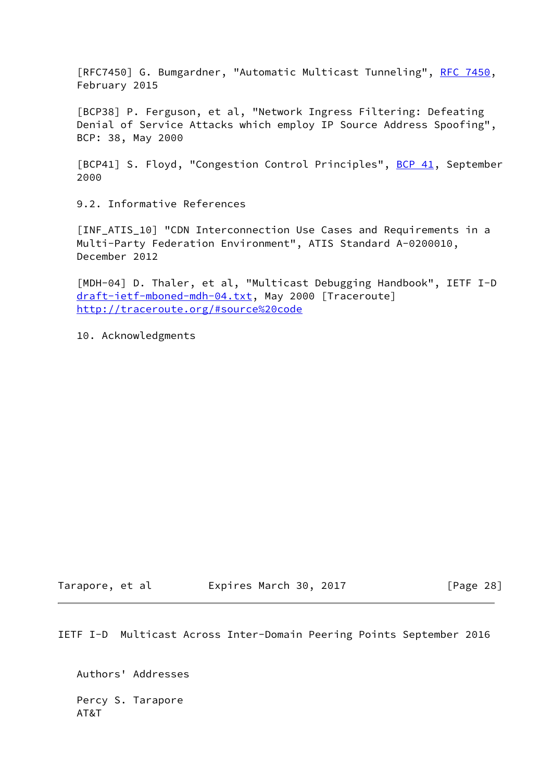[RFC7450] G. Bumgardner, "Automatic Multicast Tunneling", [RFC 7450](https://datatracker.ietf.org/doc/pdf/rfc7450), February 2015

<span id="page-29-0"></span> [BCP38] P. Ferguson, et al, "Network Ingress Filtering: Defeating Denial of Service Attacks which employ IP Source Address Spoofing", BCP: 38, May 2000

<span id="page-29-1"></span>[BCP41] S. Floyd, "Congestion Control Principles", [BCP 41](https://datatracker.ietf.org/doc/pdf/bcp41), September 2000

9.2. Informative References

<span id="page-29-2"></span> [INF\_ATIS\_10] "CDN Interconnection Use Cases and Requirements in a Multi-Party Federation Environment", ATIS Standard A-0200010, December 2012

<span id="page-29-3"></span> [MDH-04] D. Thaler, et al, "Multicast Debugging Handbook", IETF I-D [draft-ietf-mboned-mdh-04.txt](https://datatracker.ietf.org/doc/pdf/draft-ietf-mboned-mdh-04.txt), May 2000 [Traceroute] <http://traceroute.org/#source%20code>

10. Acknowledgments

Tarapore, et al **Expires March 30, 2017** [Page 28]

IETF I-D Multicast Across Inter-Domain Peering Points September 2016

 Authors' Addresses Percy S. Tarapore AT&T